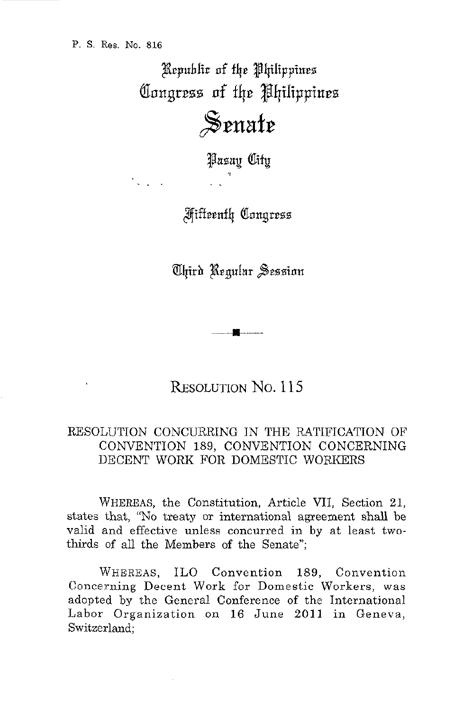Republic of the Philippines Congress of the Philippines Senate

Pasay City

**Miffeenth Congress** 

Chird Regular Session

RESOLUTION NO. 115

## RESOLUTION CONCURRING IN THE RATIFICATION OF CONVENTION 189, CONVENTION CONCERNING DECENT WORK FOR DOMESTIC WORKERS

WHEREAS, the Constitution, Article VII, Section 21, states that, "No treaty or international agreement shall be valid and effective unless concurred in by at least twothirds of all the Members of the Senate";

WHEREAS, ILO Convention 189, Convention Concerning Decent Work for Domestic Workers, was adopted by the General Conference of the International Labor Organization on 16 June 2011 in Geneva, Switzerland: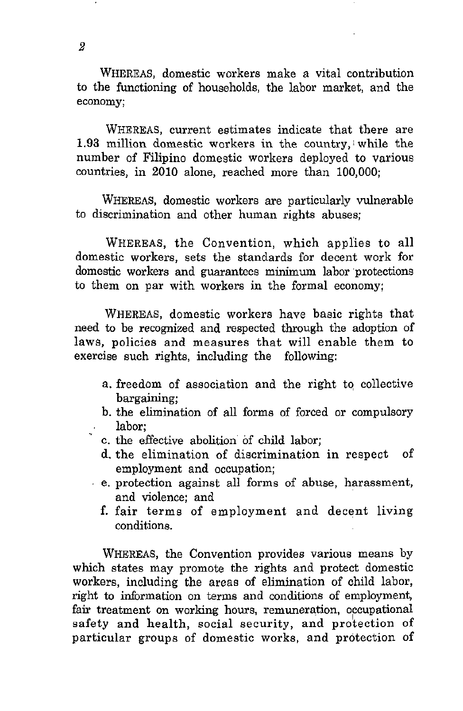WHEREAS, domestic workers make a vital contribution to the functioning of households, the labor market, and the **economy;** 

WHEREAS, current estimates indicate that there are 1.93 million domestic workers in the country,' while the number of Filipino domestic workers deployed to various countries, in 2010 alone, reached more than 100,000;

WHEREAS, domestic workers are particularly vulnerable to discrimination and other human rights abuses;

WHEREAS, the Convention, which applies to all domestic workers, sets the standards for decent work for domestic workers and guarantees minimum labor protections to them on par with workers in the formal economy;

WHEREAS, domestic workers have basic rights that need to be recognized and respected through the adoption of laws, policies and measures that will enable them to exercise such rights, including the following:

- a. freedom of association and the right to collective bargaining;
- b. the elimination of all forms of forced or compulsory labor;
- c. the effective abolition of child labor;
- d. the elimination of discrimination in respect of employment and occupation;
- e. protection against all forms of abuse, harassment, and violence; and
	- f. fair terms of employment and decent living conditions.

WHEREAS, the Convention provides various means by which states may promote the rights and protect domestic workers, including the areas of elimination of child labor, right to information on terms and conditions of employment, fair treatment on working hours, remuneration, occupational safety and health, social security, and protection of particular groups of domestic works, and protection of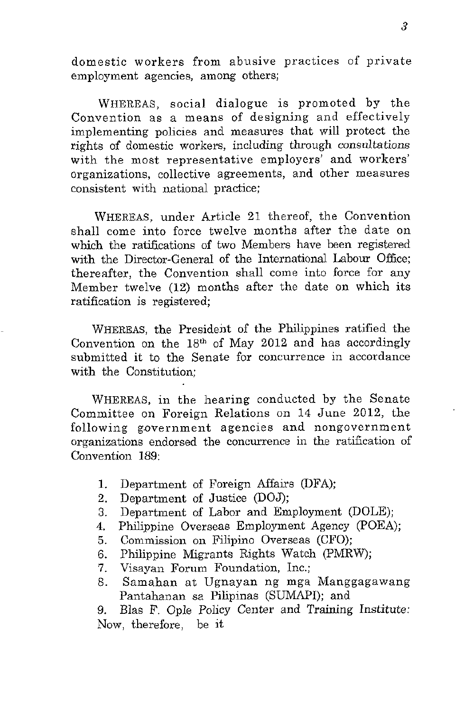domestic workers from abusive practices of private **employment agencies, among others;** 

WHEREAS, social dialogue is promoted by the Convention as a means of designing and effectively implementing policies and measures that will protect the rights of domestic workers, including through consultations with the most representative employers' and workers' organizations, collective agreements, and other measures consistent with national practice;

WHEREAS, under Article 21 thereof, the Convention shall come into force twelve months after the date on which the ratifications of two Members have been registered with the Director-General of the International Labour Office; thereafter, the Convention shall come into force for any Member twelve (12) months after the date on which its ratification is registered;

WHEREAS, the President of the Philippines ratified the Convention on the 18th of May 2012 and has accordingly submitted it to the Senate for concurrence in accordance with the Constitution;

WHEREAS, in the hearing conducted by the Senate Committee on Foreign Relations on 14 June 2012, the **following government agencies and nongovernment**  organizations endorsed the concurrence in the ratification of Convention 189:

- 1. Department of Foreign Mfairs (DFA);
- 2. Department of Justice (DOJ);
- 3. Department of Labor and Employment (DOLE);
- 4. Philippine Overseas Employment Agency (POEA);
- 5. Commission on Filipino Overseas (CFO);
- 6. Philippine Migrants Rights Watch (PMRW);
- 7. Visayan Forum Foundation, Inc.;
- 8. Samahan at Ugnayan ng mga Manggagawang Pantahanan sa Pilipinas (SUMAPI); and

9. BIas F. Ople Policy Center and Training Institute: Now, therefore, be it